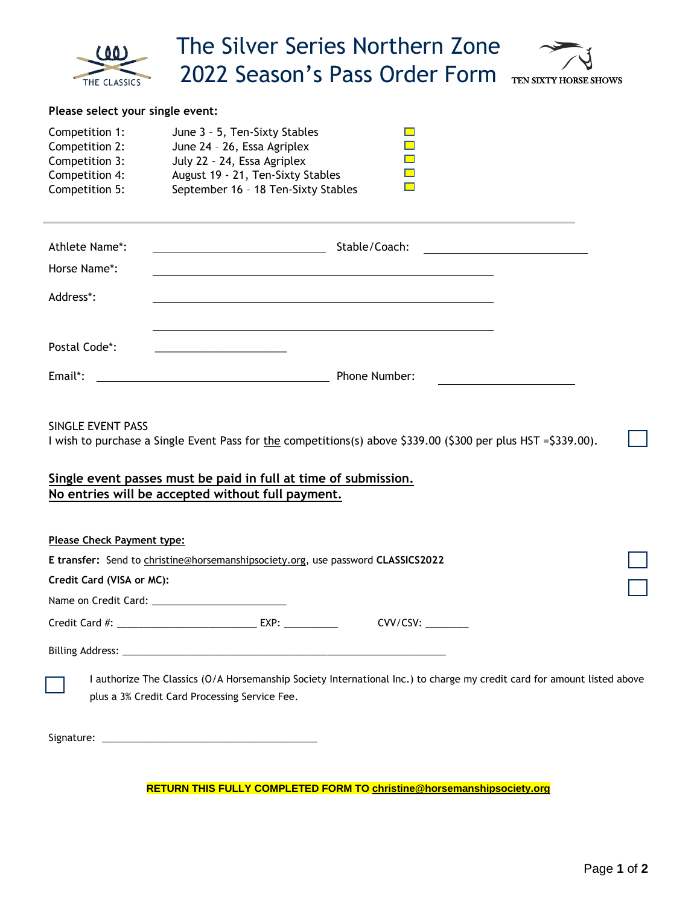| 00<br>THE CLASSICS                                                                                                                                                                                                                                         | The Silver Series Northern Zone<br>2022 Season's Pass Order Form                                                                                                         | TEN SIXTY HORSE SHOWS |
|------------------------------------------------------------------------------------------------------------------------------------------------------------------------------------------------------------------------------------------------------------|--------------------------------------------------------------------------------------------------------------------------------------------------------------------------|-----------------------|
| Please select your single event:                                                                                                                                                                                                                           |                                                                                                                                                                          |                       |
| Competition 1:<br>Competition 2:<br>Competition 3:<br>Competition 4:<br>Competition 5:                                                                                                                                                                     | June 3 - 5, Ten-Sixty Stables<br>June 24 - 26, Essa Agriplex<br>July 22 - 24, Essa Agriplex<br>August 19 - 21, Ten-Sixty Stables<br>September 16 - 18 Ten-Sixty Stables  |                       |
| Athlete Name*:<br>Horse Name*:                                                                                                                                                                                                                             |                                                                                                                                                                          |                       |
| Address*:                                                                                                                                                                                                                                                  | and the control of the control of the control of the control of the control of the control of the control of the                                                         |                       |
| Postal Code*:                                                                                                                                                                                                                                              |                                                                                                                                                                          |                       |
| Email*:                                                                                                                                                                                                                                                    | Phone Number:                                                                                                                                                            |                       |
| SINGLE EVENT PASS<br>I wish to purchase a Single Event Pass for the competitions(s) above \$339.00 (\$300 per plus HST =\$339.00).<br>Single event passes must be paid in full at time of submission.<br>No entries will be accepted without full payment. |                                                                                                                                                                          |                       |
| Please Check Payment type:                                                                                                                                                                                                                                 |                                                                                                                                                                          |                       |
| E transfer: Send to christine@horsemanshipsociety.org, use password CLASSICS2022                                                                                                                                                                           |                                                                                                                                                                          |                       |
| Credit Card (VISA or MC):                                                                                                                                                                                                                                  |                                                                                                                                                                          |                       |
|                                                                                                                                                                                                                                                            | Credit Card #: ________________________________ EXP: ____________                                                                                                        |                       |
|                                                                                                                                                                                                                                                            |                                                                                                                                                                          |                       |
|                                                                                                                                                                                                                                                            | I authorize The Classics (O/A Horsemanship Society International Inc.) to charge my credit card for amount listed above<br>plus a 3% Credit Card Processing Service Fee. |                       |
|                                                                                                                                                                                                                                                            |                                                                                                                                                                          |                       |

**RETURN THIS FULLY COMPLETED FORM T[O christine@horsemanshipsociety.org](mailto:christine@horsemanshipsociety.org)**